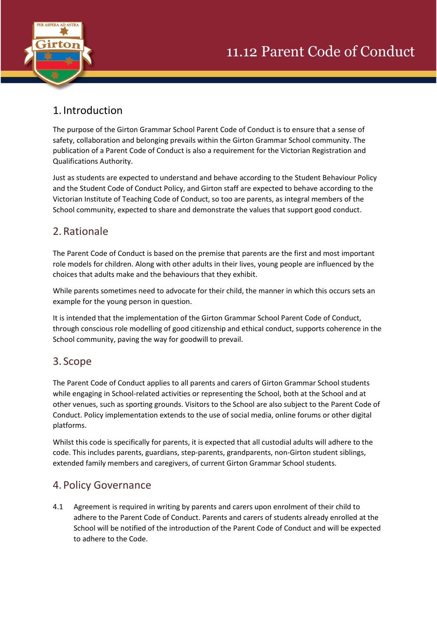

## 1. Introduction

The purpose of the Girton Grammar School Parent Code of Conduct is to ensure that a sense of safety, collaboration and belonging prevails within the Girton Grammar School community. The publication of a Parent Code of Conduct is also a requirement for the Victorian Registration and Qualifications Authority.

Just as students are expected to understand and behave according to the Student Behaviour Policy and the Student Code of Conduct Policy, and Girton staff are expected to behave according to the Victorian Institute of Teaching Code of Conduct, so too are parents, as integral members of the School community, expected to share and demonstrate the values that support good conduct.

# 2.Rationale

The Parent Code of Conduct is based on the premise that parents are the first and most important role models for children. Along with other adults in their lives, young people are influenced by the choices that adults make and the behaviours that they exhibit.

While parents sometimes need to advocate for their child, the manner in which this occurs sets an example for the young person in question.

It is intended that the implementation of the Girton Grammar School Parent Code of Conduct, through conscious role modelling of good citizenship and ethical conduct, supports coherence in the School community, paving the way for goodwill to prevail.

## 3. Scope

The Parent Code of Conduct applies to all parents and carers of Girton Grammar School students while engaging in School-related activities or representing the School, both at the School and at other venues, such as sporting grounds. Visitors to the School are also subject to the Parent Code of Conduct. Policy implementation extends to the use of social media, online forums or other digital platforms.

Whilst this code is specifically for parents, it is expected that all custodial adults will adhere to the code. This includes parents, guardians, step-parents, grandparents, non-Girton student siblings, extended family members and caregivers, of current Girton Grammar School students.

## 4. Policy Governance

4.1 Agreement is required in writing by parents and carers upon enrolment of their child to adhere to the Parent Code of Conduct. Parents and carers of students already enrolled at the School will be notified of the introduction of the Parent Code of Conduct and will be expected to adhere to the Code.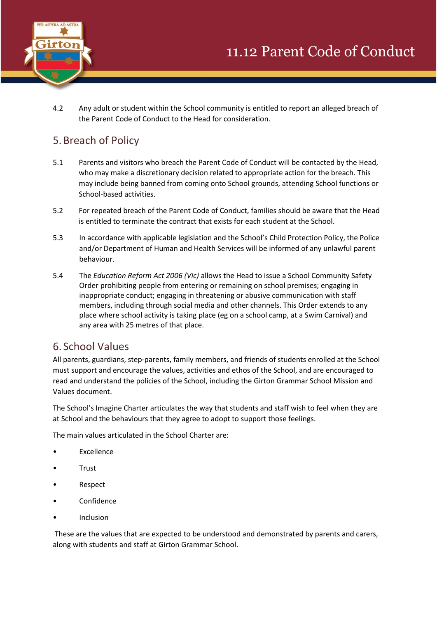

4.2 Any adult or student within the School community is entitled to report an alleged breach of the Parent Code of Conduct to the Head for consideration.

# 5.Breach of Policy

- 5.1 Parents and visitors who breach the Parent Code of Conduct will be contacted by the Head, who may make a discretionary decision related to appropriate action for the breach. This may include being banned from coming onto School grounds, attending School functions or School-based activities.
- 5.2 For repeated breach of the Parent Code of Conduct, families should be aware that the Head is entitled to terminate the contract that exists for each student at the School.
- 5.3 In accordance with applicable legislation and the School's Child Protection Policy, the Police and/or Department of Human and Health Services will be informed of any unlawful parent behaviour.
- 5.4 The *Education Reform Act 2006 (Vic)* allows the Head to issue a School Community Safety Order prohibiting people from entering or remaining on school premises; engaging in inappropriate conduct; engaging in threatening or abusive communication with staff members, including through social media and other channels. This Order extends to any place where school activity is taking place (eg on a school camp, at a Swim Carnival) and any area with 25 metres of that place.

## 6. School Values

All parents, guardians, step-parents, family members, and friends of students enrolled at the School must support and encourage the values, activities and ethos of the School, and are encouraged to read and understand the policies of the School, including the Girton Grammar School Mission and Values document.

The School's Imagine Charter articulates the way that students and staff wish to feel when they are at School and the behaviours that they agree to adopt to support those feelings.

The main values articulated in the School Charter are:

- **Excellence**
- Trust
- Respect
- Confidence
- **Inclusion**

These are the values that are expected to be understood and demonstrated by parents and carers, along with students and staff at Girton Grammar School.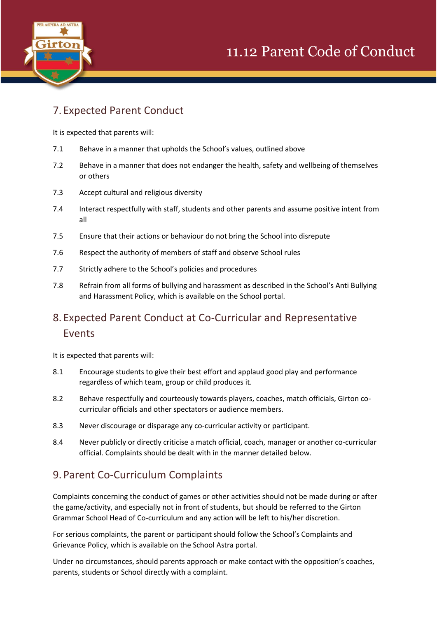



# 7. Expected Parent Conduct

It is expected that parents will:

- 7.1 Behave in a manner that upholds the School's values, outlined above
- 7.2 Behave in a manner that does not endanger the health, safety and wellbeing of themselves or others
- 7.3 Accept cultural and religious diversity
- 7.4 Interact respectfully with staff, students and other parents and assume positive intent from all
- 7.5 Ensure that their actions or behaviour do not bring the School into disrepute
- 7.6 Respect the authority of members of staff and observe School rules
- 7.7 Strictly adhere to the School's policies and procedures
- 7.8 Refrain from all forms of bullying and harassment as described in the School's Anti Bullying and Harassment Policy, which is available on the School portal.

# 8. Expected Parent Conduct at Co-Curricular and Representative Events

It is expected that parents will:

- 8.1 Encourage students to give their best effort and applaud good play and performance regardless of which team, group or child produces it.
- 8.2 Behave respectfully and courteously towards players, coaches, match officials, Girton cocurricular officials and other spectators or audience members.
- 8.3 Never discourage or disparage any co-curricular activity or participant.
- 8.4 Never publicly or directly criticise a match official, coach, manager or another co-curricular official. Complaints should be dealt with in the manner detailed below.

## 9. Parent Co-Curriculum Complaints

Complaints concerning the conduct of games or other activities should not be made during or after the game/activity, and especially not in front of students, but should be referred to the Girton Grammar School Head of Co-curriculum and any action will be left to his/her discretion.

For serious complaints, the parent or participant should follow the School's Complaints and Grievance Policy, which is available on the School Astra portal.

Under no circumstances, should parents approach or make contact with the opposition's coaches, parents, students or School directly with a complaint.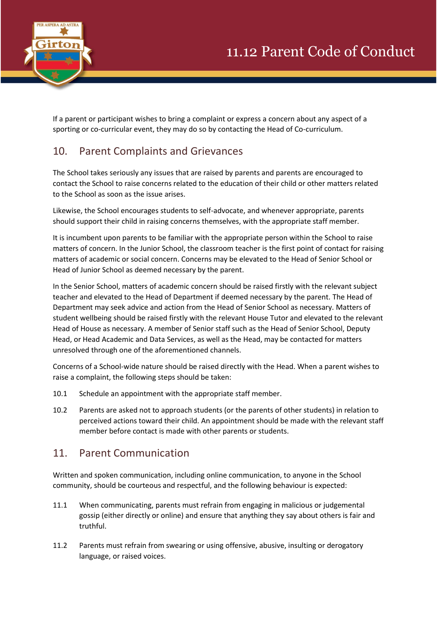



If a parent or participant wishes to bring a complaint or express a concern about any aspect of a sporting or co-curricular event, they may do so by contacting the Head of Co-curriculum.

# 10. Parent Complaints and Grievances

The School takes seriously any issues that are raised by parents and parents are encouraged to contact the School to raise concerns related to the education of their child or other matters related to the School as soon as the issue arises.

Likewise, the School encourages students to self-advocate, and whenever appropriate, parents should support their child in raising concerns themselves, with the appropriate staff member.

It is incumbent upon parents to be familiar with the appropriate person within the School to raise matters of concern. In the Junior School, the classroom teacher is the first point of contact for raising matters of academic or social concern. Concerns may be elevated to the Head of Senior School or Head of Junior School as deemed necessary by the parent.

In the Senior School, matters of academic concern should be raised firstly with the relevant subject teacher and elevated to the Head of Department if deemed necessary by the parent. The Head of Department may seek advice and action from the Head of Senior School as necessary. Matters of student wellbeing should be raised firstly with the relevant House Tutor and elevated to the relevant Head of House as necessary. A member of Senior staff such as the Head of Senior School, Deputy Head, or Head Academic and Data Services, as well as the Head, may be contacted for matters unresolved through one of the aforementioned channels.

Concerns of a School-wide nature should be raised directly with the Head. When a parent wishes to raise a complaint, the following steps should be taken:

- 10.1 Schedule an appointment with the appropriate staff member.
- 10.2 Parents are asked not to approach students (or the parents of other students) in relation to perceived actions toward their child. An appointment should be made with the relevant staff member before contact is made with other parents or students.

#### 11. Parent Communication

Written and spoken communication, including online communication, to anyone in the School community, should be courteous and respectful, and the following behaviour is expected:

- 11.1 When communicating, parents must refrain from engaging in malicious or judgemental gossip (either directly or online) and ensure that anything they say about others is fair and truthful.
- 11.2 Parents must refrain from swearing or using offensive, abusive, insulting or derogatory language, or raised voices.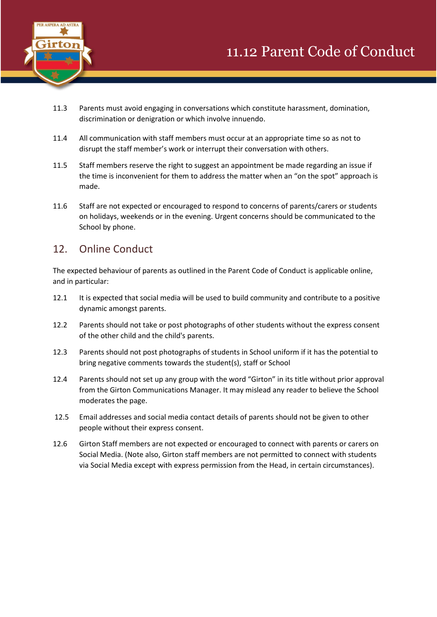

- 11.3 Parents must avoid engaging in conversations which constitute harassment, domination, discrimination or denigration or which involve innuendo.
- 11.4 All communication with staff members must occur at an appropriate time so as not to disrupt the staff member's work or interrupt their conversation with others.
- 11.5 Staff members reserve the right to suggest an appointment be made regarding an issue if the time is inconvenient for them to address the matter when an "on the spot" approach is made.
- 11.6 Staff are not expected or encouraged to respond to concerns of parents/carers or students on holidays, weekends or in the evening. Urgent concerns should be communicated to the School by phone.

#### 12. Online Conduct

The expected behaviour of parents as outlined in the Parent Code of Conduct is applicable online, and in particular:

- 12.1 It is expected that social media will be used to build community and contribute to a positive dynamic amongst parents.
- 12.2 Parents should not take or post photographs of other students without the express consent of the other child and the child's parents.
- 12.3 Parents should not post photographs of students in School uniform if it has the potential to bring negative comments towards the student(s), staff or School
- 12.4 Parents should not set up any group with the word "Girton" in its title without prior approval from the Girton Communications Manager. It may mislead any reader to believe the School moderates the page.
- 12.5 Email addresses and social media contact details of parents should not be given to other people without their express consent.
- 12.6 Girton Staff members are not expected or encouraged to connect with parents or carers on Social Media. (Note also, Girton staff members are not permitted to connect with students via Social Media except with express permission from the Head, in certain circumstances).